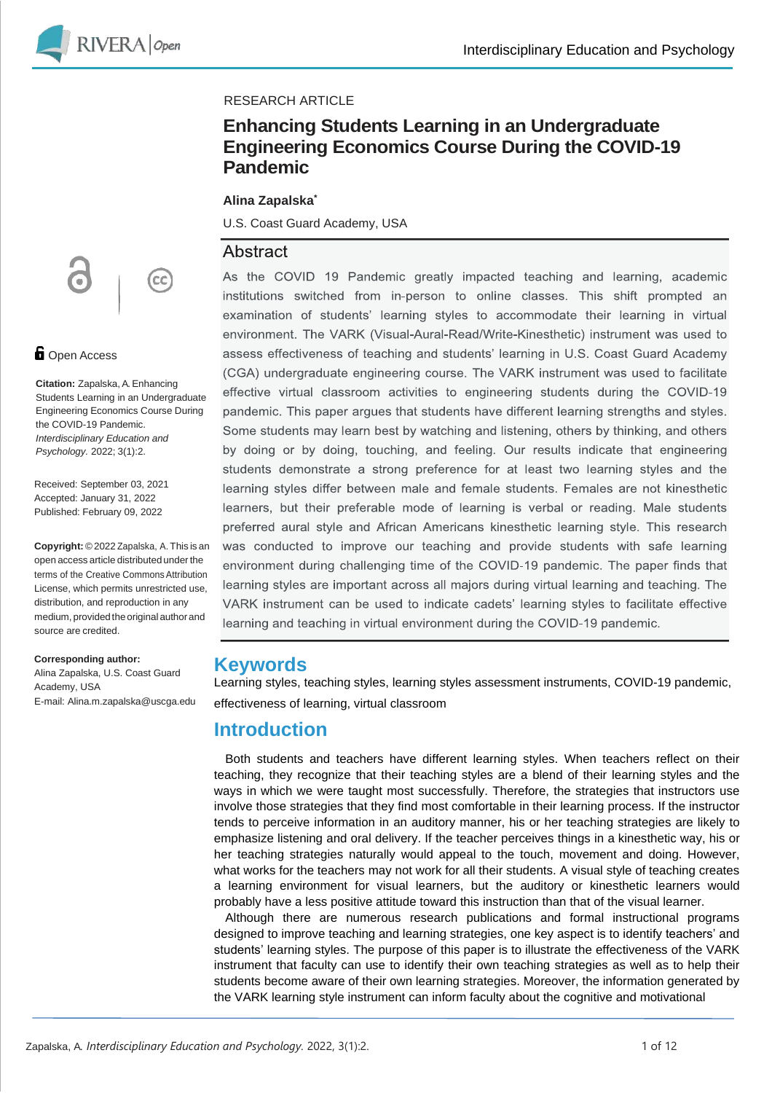

#### RESEARCH ARTICLE

### **Enhancing Students Learning in an Undergraduate Engineering Economics Course During the COVID-19 Pandemic**

#### **Alina Zapalska\***

U.S. Coast Guard Academy, USA

#### Abstract

As the COVID 19 Pandemic greatly impacted teaching and learning, academic institutions switched from in-person to online classes. This shift prompted an examination of students' learning styles to accommodate their learning in virtual environment. The VARK (Visual-Aural-Read/Write-Kinesthetic) instrument was used to assess effectiveness of teaching and students' learning in U.S. Coast Guard Academy (CGA) undergraduate engineering course. The VARK instrument was used to facilitate effective virtual classroom activities to engineering students during the COVID-19 pandemic. This paper argues that students have different learning strengths and styles. Some students may learn best by watching and listening, others by thinking, and others by doing or by doing, touching, and feeling. Our results indicate that engineering students demonstrate a strong preference for at least two learning styles and the learning styles differ between male and female students. Females are not kinesthetic learners, but their preferable mode of learning is verbal or reading. Male students preferred aural style and African Americans kinesthetic learning style. This research was conducted to improve our teaching and provide students with safe learning environment during challenging time of the COVID-19 pandemic. The paper finds that learning styles are important across all majors during virtual learning and teaching. The VARK instrument can be used to indicate cadets' learning styles to facilitate effective learning and teaching in virtual environment during the COVID-19 pandemic.

### **Keywords**

Learning styles, teaching styles, learning styles assessment instruments, COVID-19 pandemic, effectiveness of learning, virtual classroom

### **Introduction**

Both students and teachers have different learning styles. When teachers reflect on their teaching, they recognize that their teaching styles are a blend of their learning styles and the ways in which we were taught most successfully. Therefore, the strategies that instructors use involve those strategies that they find most comfortable in their learning process. If the instructor tends to perceive information in an auditory manner, his or her teaching strategies are likely to emphasize listening and oral delivery. If the teacher perceives things in a kinesthetic way, his or her teaching strategies naturally would appeal to the touch, movement and doing. However, what works for the teachers may not work for all their students. A visual style of teaching creates a learning environment for visual learners, but the auditory or kinesthetic learners would probably have a less positive attitude toward this instruction than that of the visual learner.

Although there are numerous research publications and formal instructional programs designed to improve teaching and learning strategies, one key aspect is to identify teachers' and students' learning styles. The purpose of this paper is to illustrate the effectiveness of the VARK instrument that faculty can use to identify their own teaching strategies as well as to help their students become aware of their own learning strategies. Moreover, the information generated by the VARK learning style instrument can inform faculty about the cognitive and motivational



#### **D** Open Access

**Citation:** Zapalska, A.Enhancing Students Learning in an Undergraduate Engineering Economics Course During the COVID-19 Pandemic. *Interdisciplinary Education and Psychology.* 2022; 3(1):2.

Received: September 03, 2021 Accepted: January 31, 2022 Published: February 09, 2022

**Copyright:** © 2022 Zapalska, A. This is an open access article distributed under the terms of the Creative CommonsAttribution License, which permits unrestricted use, distribution, and reproduction in any medium, provided the original authorand source are credited.

**Corresponding author:** Alina Zapalska, U.S. Coast Guard Academy, USA E-mail: Alina.m.zapalska@uscga.edu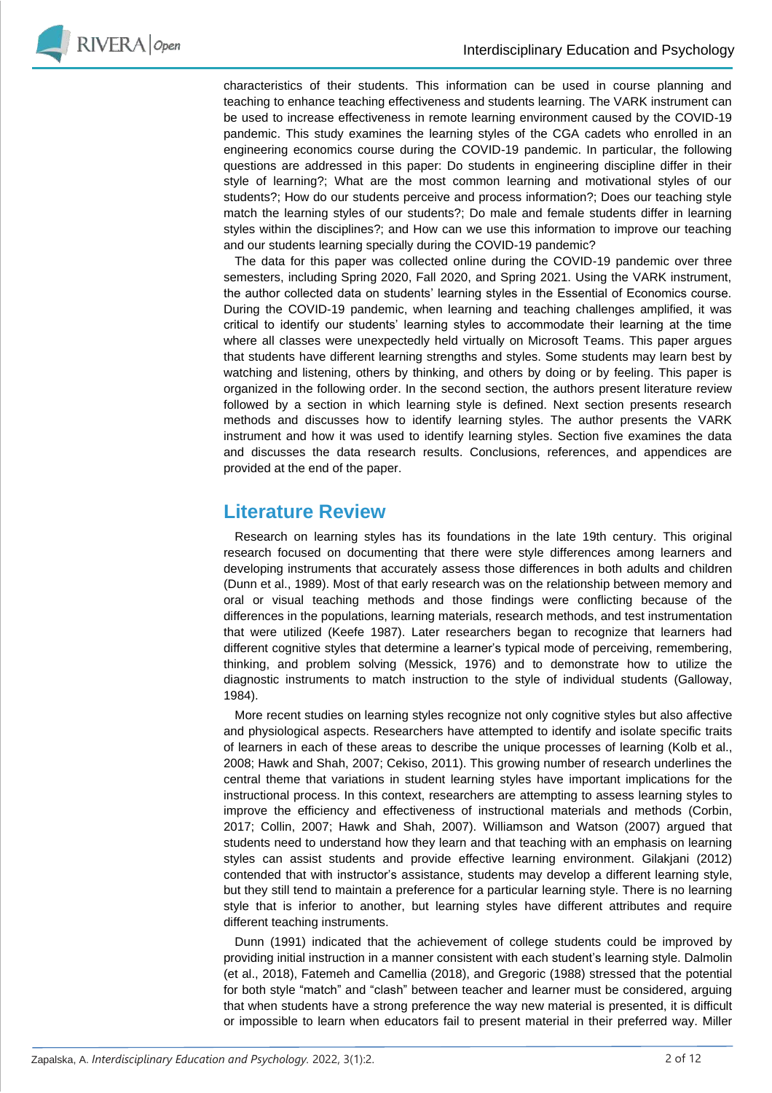

characteristics of their students. This information can be used in course planning and teaching to enhance teaching effectiveness and students learning. The VARK instrument can be used to increase effectiveness in remote learning environment caused by the COVID-19 pandemic. This study examines the learning styles of the CGA cadets who enrolled in an engineering economics course during the COVID-19 pandemic. In particular, the following questions are addressed in this paper: Do students in engineering discipline differ in their style of learning?; What are the most common learning and motivational styles of our students?; How do our students perceive and process information?; Does our teaching style match the learning styles of our students?; Do male and female students differ in learning styles within the disciplines?; and How can we use this information to improve our teaching and our students learning specially during the COVID-19 pandemic?

The data for this paper was collected online during the COVID-19 pandemic over three semesters, including Spring 2020, Fall 2020, and Spring 2021. Using the VARK instrument, the author collected data on students' learning styles in the Essential of Economics course. During the COVID-19 pandemic, when learning and teaching challenges amplified, it was critical to identify our students' learning styles to accommodate their learning at the time where all classes were unexpectedly held virtually on Microsoft Teams. This paper argues that students have different learning strengths and styles. Some students may learn best by watching and listening, others by thinking, and others by doing or by feeling. This paper is organized in the following order. In the second section, the authors present literature review followed by a section in which learning style is defined. Next section presents research methods and discusses how to identify learning styles. The author presents the VARK instrument and how it was used to identify learning styles. Section five examines the data and discusses the data research results. Conclusions, references, and appendices are provided at the end of the paper.

## **Literature Review**

Research on learning styles has its foundations in the late 19th century. This original research focused on documenting that there were style differences among learners and developing instruments that accurately assess those differences in both adults and children (Dunn et al., 1989). Most of that early research was on the relationship between memory and oral or visual teaching methods and those findings were conflicting because of the differences in the populations, learning materials, research methods, and test instrumentation that were utilized (Keefe 1987). Later researchers began to recognize that learners had different cognitive styles that determine a learner's typical mode of perceiving, remembering, thinking, and problem solving (Messick, 1976) and to demonstrate how to utilize the diagnostic instruments to match instruction to the style of individual students (Galloway, 1984).

More recent studies on learning styles recognize not only cognitive styles but also affective and physiological aspects. Researchers have attempted to identify and isolate specific traits of learners in each of these areas to describe the unique processes of learning (Kolb et al., 2008; Hawk and Shah, 2007; Cekiso, 2011). This growing number of research underlines the central theme that variations in student learning styles have important implications for the instructional process. In this context, researchers are attempting to assess learning styles to improve the efficiency and effectiveness of instructional materials and methods (Corbin, 2017; Collin, 2007; Hawk and Shah, 2007). Williamson and Watson (2007) argued that students need to understand how they learn and that teaching with an emphasis on learning styles can assist students and provide effective learning environment. Gilakjani (2012) contended that with instructor's assistance, students may develop a different learning style, but they still tend to maintain a preference for a particular learning style. There is no learning style that is inferior to another, but learning styles have different attributes and require different teaching instruments.

Dunn (1991) indicated that the achievement of college students could be improved by providing initial instruction in a manner consistent with each student's learning style. Dalmolin (et al., 2018), Fatemeh and Camellia (2018), and Gregoric (1988) stressed that the potential for both style "match" and "clash" between teacher and learner must be considered, arguing that when students have a strong preference the way new material is presented, it is difficult or impossible to learn when educators fail to present material in their preferred way. Miller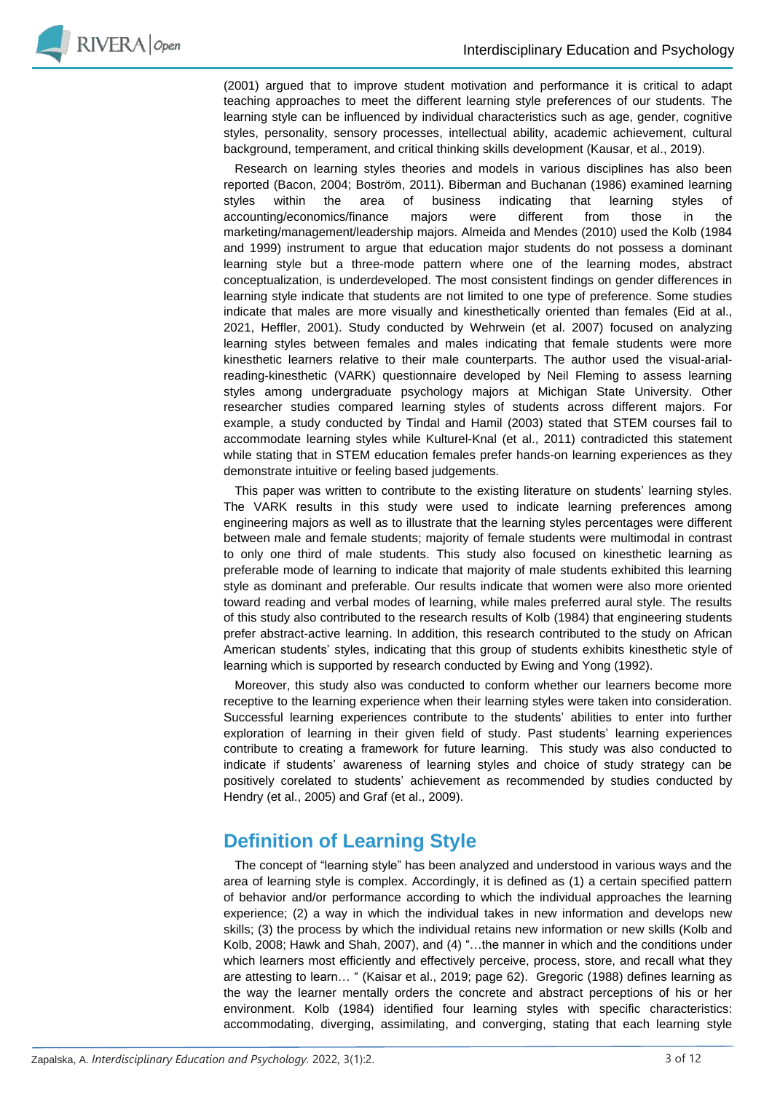

(2001) argued that to improve student motivation and performance it is critical to adapt teaching approaches to meet the different learning style preferences of our students. The learning style can be influenced by individual characteristics such as age, gender, cognitive styles, personality, sensory processes, intellectual ability, academic achievement, cultural background, temperament, and critical thinking skills development (Kausar, et al., 2019).

Research on learning styles theories and models in various disciplines has also been reported (Bacon, 2004; Boström, 2011). Biberman and Buchanan (1986) examined learning styles within the area of business indicating that learning styles of accounting/economics/finance majors were different from those in the marketing/management/leadership majors. Almeida and Mendes (2010) used the Kolb (1984 and 1999) instrument to argue that education major students do not possess a dominant learning style but a three-mode pattern where one of the learning modes, abstract conceptualization, is underdeveloped. The most consistent findings on gender differences in learning style indicate that students are not limited to one type of preference. Some studies indicate that males are more visually and kinesthetically oriented than females (Eid at al., 2021, Heffler, 2001). Study conducted by Wehrwein (et al. 2007) focused on analyzing learning styles between females and males indicating that female students were more kinesthetic learners relative to their male counterparts. The author used the visual-arialreading-kinesthetic (VARK) questionnaire developed by Neil Fleming to assess learning styles among undergraduate psychology majors at Michigan State University. Other researcher studies compared learning styles of students across different majors. For example, a study conducted by Tindal and Hamil (2003) stated that STEM courses fail to accommodate learning styles while Kulturel-Knal (et al., 2011) contradicted this statement while stating that in STEM education females prefer hands-on learning experiences as they demonstrate intuitive or feeling based judgements.

This paper was written to contribute to the existing literature on students' learning styles. The VARK results in this study were used to indicate learning preferences among engineering majors as well as to illustrate that the learning styles percentages were different between male and female students; majority of female students were multimodal in contrast to only one third of male students. This study also focused on kinesthetic learning as preferable mode of learning to indicate that majority of male students exhibited this learning style as dominant and preferable. Our results indicate that women were also more oriented toward reading and verbal modes of learning, while males preferred aural style. The results of this study also contributed to the research results of Kolb (1984) that engineering students prefer abstract-active learning. In addition, this research contributed to the study on African American students' styles, indicating that this group of students exhibits kinesthetic style of learning which is supported by research conducted by Ewing and Yong (1992).

Moreover, this study also was conducted to conform whether our learners become more receptive to the learning experience when their learning styles were taken into consideration. Successful learning experiences contribute to the students' abilities to enter into further exploration of learning in their given field of study. Past students' learning experiences contribute to creating a framework for future learning. This study was also conducted to indicate if students' awareness of learning styles and choice of study strategy can be positively corelated to students' achievement as recommended by studies conducted by Hendry (et al., 2005) and Graf (et al., 2009).

# **Definition of Learning Style**

The concept of "learning style" has been analyzed and understood in various ways and the area of learning style is complex. Accordingly, it is defined as (1) a certain specified pattern of behavior and/or performance according to which the individual approaches the learning experience; (2) a way in which the individual takes in new information and develops new skills; (3) the process by which the individual retains new information or new skills (Kolb and Kolb, 2008; Hawk and Shah, 2007), and (4) "…the manner in which and the conditions under which learners most efficiently and effectively perceive, process, store, and recall what they are attesting to learn… " (Kaisar et al., 2019; page 62). Gregoric (1988) defines learning as the way the learner mentally orders the concrete and abstract perceptions of his or her environment. Kolb (1984) identified four learning styles with specific characteristics: accommodating, diverging, assimilating, and converging, stating that each learning style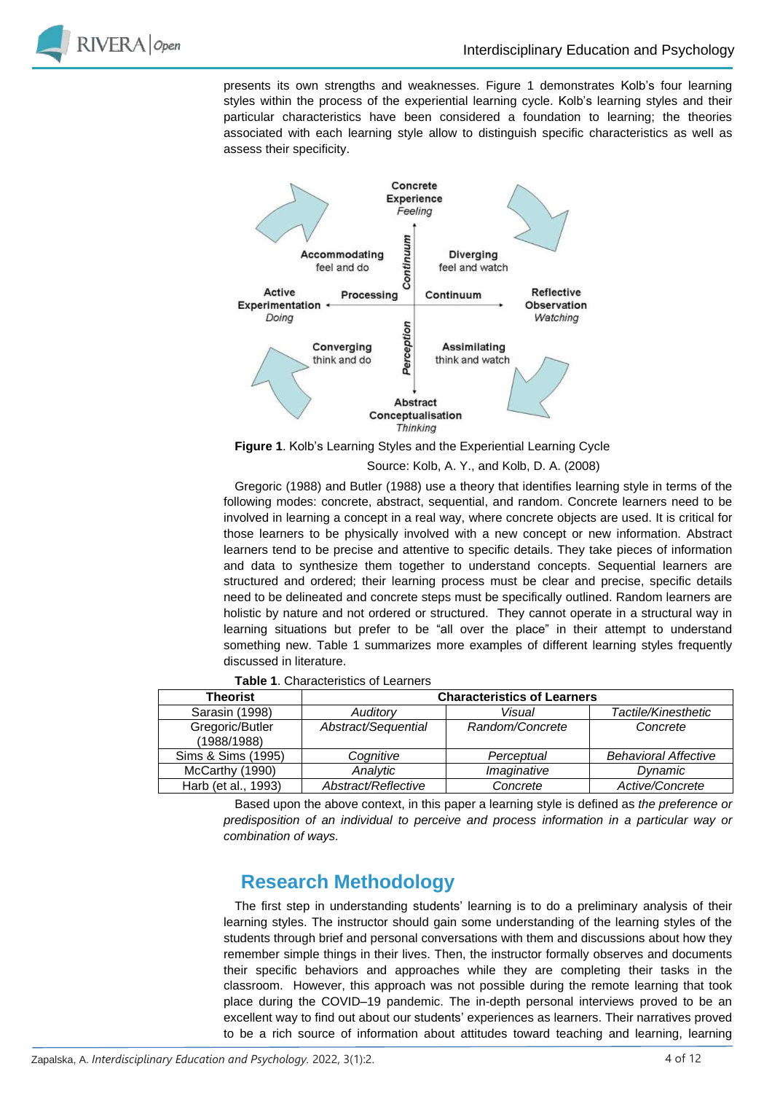

presents its own strengths and weaknesses. Figure 1 demonstrates Kolb's four learning styles within the process of the experiential learning cycle. Kolb's learning styles and their particular characteristics have been considered a foundation to learning; the theories associated with each learning style allow to distinguish specific characteristics as well as assess their specificity.



**Figure 1**. Kolb's Learning Styles and the Experiential Learning Cycle

Source: Kolb, A. Y., and Kolb, D. A. (2008)

Gregoric (1988) and Butler (1988) use a theory that identifies learning style in terms of the following modes: concrete, abstract, sequential, and random. Concrete learners need to be involved in learning a concept in a real way, where concrete objects are used. It is critical for those learners to be physically involved with a new concept or new information. Abstract learners tend to be precise and attentive to specific details. They take pieces of information and data to synthesize them together to understand concepts. Sequential learners are structured and ordered; their learning process must be clear and precise, specific details need to be delineated and concrete steps must be specifically outlined. Random learners are holistic by nature and not ordered or structured. They cannot operate in a structural way in learning situations but prefer to be "all over the place" in their attempt to understand something new. Table 1 summarizes more examples of different learning styles frequently discussed in literature.

| 10016 1. ONGRUGIORO OF EGUINGO |                                    |                 |                             |  |  |  |
|--------------------------------|------------------------------------|-----------------|-----------------------------|--|--|--|
| <b>Theorist</b>                | <b>Characteristics of Learners</b> |                 |                             |  |  |  |
| Sarasin (1998)                 | Auditory                           | Visual          | Tactile/Kinesthetic         |  |  |  |
| Gregoric/Butler<br>(1988/1988) | Abstract/Sequential                | Random/Concrete | Concrete                    |  |  |  |
| Sims & Sims (1995)             | Cognitive                          | Perceptual      | <b>Behavioral Affective</b> |  |  |  |
| McCarthy (1990)                | Analvtic                           | Imaginative     | Dynamic                     |  |  |  |
| Harb (et al., 1993)            | Abstract/Reflective                | Concrete        | Active/Concrete             |  |  |  |

**Table 1**. Characteristics of Learners

Based upon the above context, in this paper a learning style is defined as *the preference or predisposition of an individual to perceive and process information in a particular way or combination of ways.*

# **Research Methodology**

The first step in understanding students' learning is to do a preliminary analysis of their learning styles. The instructor should gain some understanding of the learning styles of the students through brief and personal conversations with them and discussions about how they remember simple things in their lives. Then, the instructor formally observes and documents their specific behaviors and approaches while they are completing their tasks in the classroom. However, this approach was not possible during the remote learning that took place during the COVID–19 pandemic. The in-depth personal interviews proved to be an excellent way to find out about our students' experiences as learners. Their narratives proved to be a rich source of information about attitudes toward teaching and learning, learning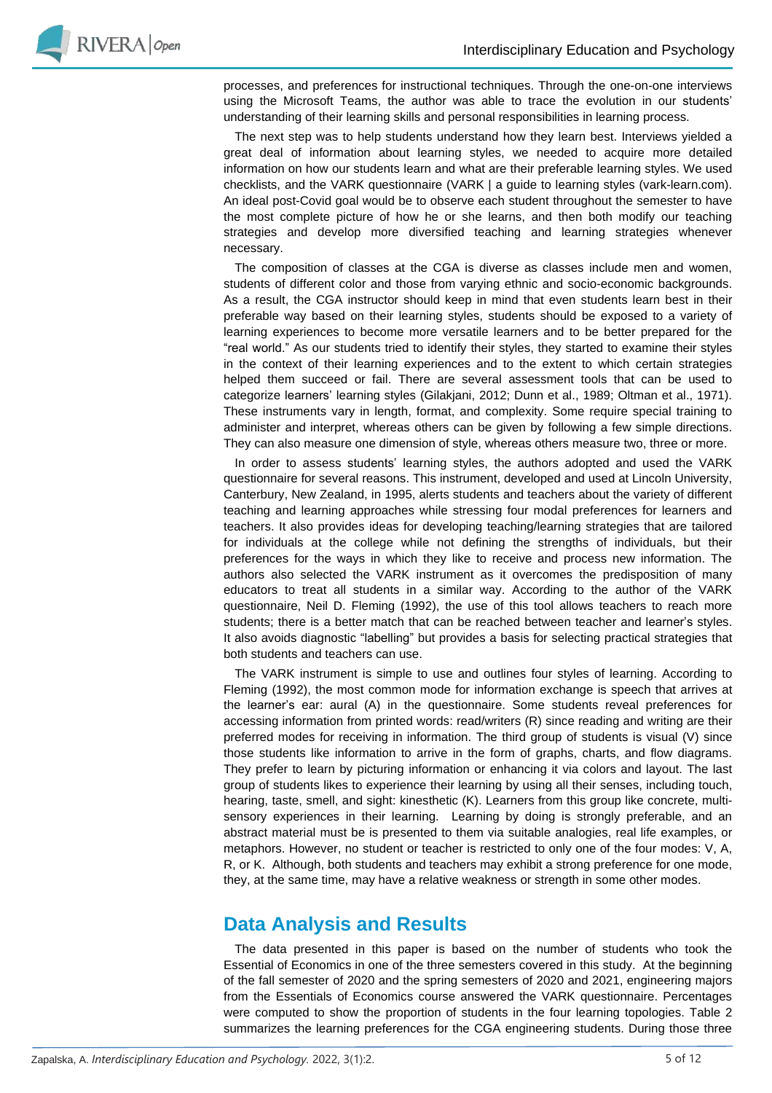

processes, and preferences for instructional techniques. Through the one-on-one interviews using the Microsoft Teams, the author was able to trace the evolution in our students' understanding of their learning skills and personal responsibilities in learning process.

The next step was to help students understand how they learn best. Interviews yielded a great deal of information about learning styles, we needed to acquire more detailed information on how our students learn and what are their preferable learning styles. We used checklists, and the VARK questionnaire (VARK | a guide to learning styles (vark-learn.com). An ideal post-Covid goal would be to observe each student throughout the semester to have the most complete picture of how he or she learns, and then both modify our teaching strategies and develop more diversified teaching and learning strategies whenever necessary.

The composition of classes at the CGA is diverse as classes include men and women, students of different color and those from varying ethnic and socio-economic backgrounds. As a result, the CGA instructor should keep in mind that even students learn best in their preferable way based on their learning styles, students should be exposed to a variety of learning experiences to become more versatile learners and to be better prepared for the "real world." As our students tried to identify their styles, they started to examine their styles in the context of their learning experiences and to the extent to which certain strategies helped them succeed or fail. There are several assessment tools that can be used to categorize learners' learning styles (Gilakjani, 2012; Dunn et al., 1989; Oltman et al., 1971). These instruments vary in length, format, and complexity. Some require special training to administer and interpret, whereas others can be given by following a few simple directions. They can also measure one dimension of style, whereas others measure two, three or more.

In order to assess students' learning styles, the authors adopted and used the VARK questionnaire for several reasons. This instrument, developed and used at Lincoln University, Canterbury, New Zealand, in 1995, alerts students and teachers about the variety of different teaching and learning approaches while stressing four modal preferences for learners and teachers. It also provides ideas for developing teaching/learning strategies that are tailored for individuals at the college while not defining the strengths of individuals, but their preferences for the ways in which they like to receive and process new information. The authors also selected the VARK instrument as it overcomes the predisposition of many educators to treat all students in a similar way. According to the author of the VARK questionnaire, Neil D. Fleming (1992), the use of this tool allows teachers to reach more students; there is a better match that can be reached between teacher and learner's styles. It also avoids diagnostic "labelling" but provides a basis for selecting practical strategies that both students and teachers can use.

The VARK instrument is simple to use and outlines four styles of learning. According to Fleming (1992), the most common mode for information exchange is speech that arrives at the learner's ear: aural (A) in the questionnaire. Some students reveal preferences for accessing information from printed words: read/writers (R) since reading and writing are their preferred modes for receiving in information. The third group of students is visual (V) since those students like information to arrive in the form of graphs, charts, and flow diagrams. They prefer to learn by picturing information or enhancing it via colors and layout. The last group of students likes to experience their learning by using all their senses, including touch, hearing, taste, smell, and sight: kinesthetic (K). Learners from this group like concrete, multisensory experiences in their learning. Learning by doing is strongly preferable, and an abstract material must be is presented to them via suitable analogies, real life examples, or metaphors. However, no student or teacher is restricted to only one of the four modes: V, A, R, or K. Although, both students and teachers may exhibit a strong preference for one mode, they, at the same time, may have a relative weakness or strength in some other modes.

### **Data Analysis and Results**

The data presented in this paper is based on the number of students who took the Essential of Economics in one of the three semesters covered in this study. At the beginning of the fall semester of 2020 and the spring semesters of 2020 and 2021, engineering majors from the Essentials of Economics course answered the VARK questionnaire. Percentages were computed to show the proportion of students in the four learning topologies. Table 2 summarizes the learning preferences for the CGA engineering students. During those three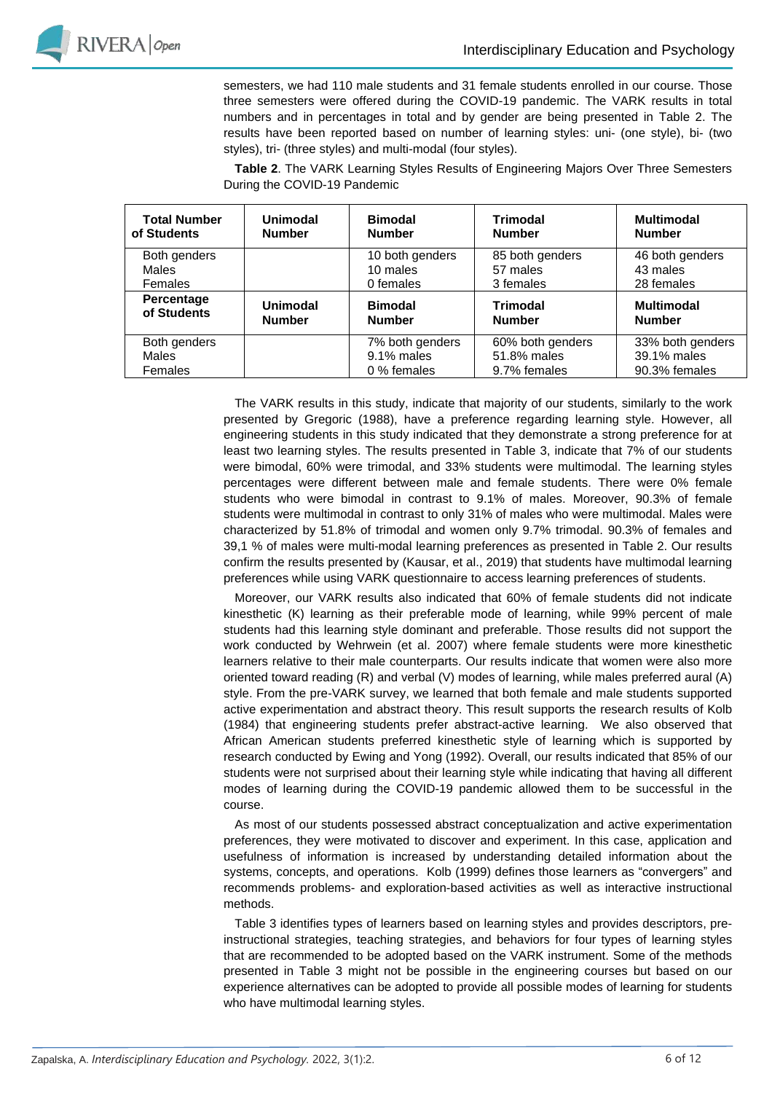

semesters, we had 110 male students and 31 female students enrolled in our course. Those three semesters were offered during the COVID-19 pandemic. The VARK results in total numbers and in percentages in total and by gender are being presented in Table 2. The results have been reported based on number of learning styles: uni- (one style), bi- (two styles), tri- (three styles) and multi-modal (four styles).

**Table 2**. The VARK Learning Styles Results of Engineering Majors Over Three Semesters During the COVID-19 Pandemic

| <b>Total Number</b><br>of Students | <b>Unimodal</b><br><b>Number</b> | <b>Bimodal</b><br><b>Number</b> | <b>Trimodal</b><br><b>Number</b> | <b>Multimodal</b><br><b>Number</b> |
|------------------------------------|----------------------------------|---------------------------------|----------------------------------|------------------------------------|
| Both genders                       |                                  | 10 both genders                 | 85 both genders                  | 46 both genders                    |
| <b>Males</b>                       |                                  | 10 males                        | 57 males                         | 43 males                           |
| Females                            |                                  | 0 females                       | 3 females                        | 28 females                         |
| Percentage<br>of Students          | Unimodal<br><b>Number</b>        | <b>Bimodal</b><br><b>Number</b> | <b>Trimodal</b><br><b>Number</b> | <b>Multimodal</b><br><b>Number</b> |
| Both genders                       |                                  | 7% both genders                 | 60% both genders                 | 33% both genders                   |
| <b>Males</b>                       |                                  | 9.1% males                      | 51.8% males                      | 39.1% males                        |
| Females                            |                                  | 0 % females                     | 9.7% females                     | 90.3% females                      |

The VARK results in this study, indicate that majority of our students, similarly to the work presented by Gregoric (1988), have a preference regarding learning style. However, all engineering students in this study indicated that they demonstrate a strong preference for at least two learning styles. The results presented in Table 3, indicate that 7% of our students were bimodal, 60% were trimodal, and 33% students were multimodal. The learning styles percentages were different between male and female students. There were 0% female students who were bimodal in contrast to 9.1% of males. Moreover, 90.3% of female students were multimodal in contrast to only 31% of males who were multimodal. Males were characterized by 51.8% of trimodal and women only 9.7% trimodal. 90.3% of females and 39,1 % of males were multi-modal learning preferences as presented in Table 2. Our results confirm the results presented by (Kausar, et al., 2019) that students have multimodal learning preferences while using VARK questionnaire to access learning preferences of students.

Moreover, our VARK results also indicated that 60% of female students did not indicate kinesthetic (K) learning as their preferable mode of learning, while 99% percent of male students had this learning style dominant and preferable. Those results did not support the work conducted by Wehrwein (et al. 2007) where female students were more kinesthetic learners relative to their male counterparts. Our results indicate that women were also more oriented toward reading (R) and verbal (V) modes of learning, while males preferred aural (A) style. From the pre-VARK survey, we learned that both female and male students supported active experimentation and abstract theory. This result supports the research results of Kolb (1984) that engineering students prefer abstract-active learning. We also observed that African American students preferred kinesthetic style of learning which is supported by research conducted by Ewing and Yong (1992). Overall, our results indicated that 85% of our students were not surprised about their learning style while indicating that having all different modes of learning during the COVID-19 pandemic allowed them to be successful in the course.

As most of our students possessed abstract conceptualization and active experimentation preferences, they were motivated to discover and experiment. In this case, application and usefulness of information is increased by understanding detailed information about the systems, concepts, and operations. Kolb (1999) defines those learners as "convergers" and recommends problems- and exploration-based activities as well as interactive instructional methods.

Table 3 identifies types of learners based on learning styles and provides descriptors, preinstructional strategies, teaching strategies, and behaviors for four types of learning styles that are recommended to be adopted based on the VARK instrument. Some of the methods presented in Table 3 might not be possible in the engineering courses but based on our experience alternatives can be adopted to provide all possible modes of learning for students who have multimodal learning styles.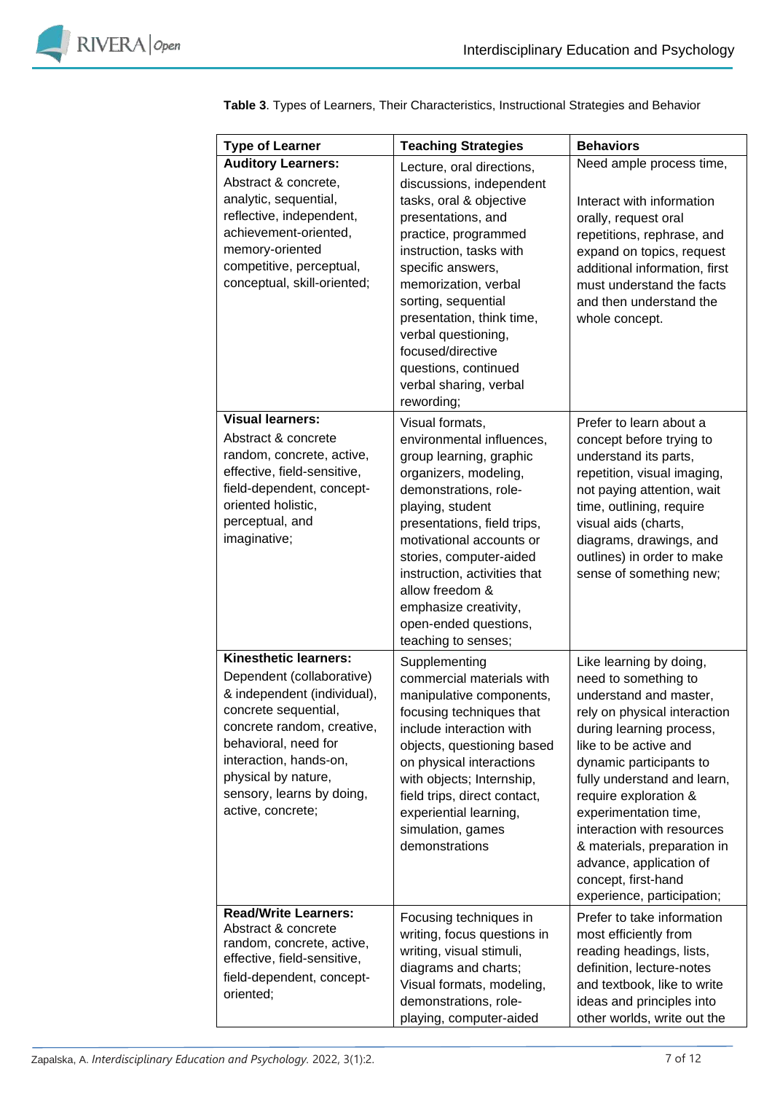

| <b>Type of Learner</b>                                                                                                                                                                                                                                                    | <b>Teaching Strategies</b>                                                                                                                                                                                                                                                                                                                                             | <b>Behaviors</b>                                                                                                                                                                                                                                                                                                                                                                                                        |
|---------------------------------------------------------------------------------------------------------------------------------------------------------------------------------------------------------------------------------------------------------------------------|------------------------------------------------------------------------------------------------------------------------------------------------------------------------------------------------------------------------------------------------------------------------------------------------------------------------------------------------------------------------|-------------------------------------------------------------------------------------------------------------------------------------------------------------------------------------------------------------------------------------------------------------------------------------------------------------------------------------------------------------------------------------------------------------------------|
| <b>Auditory Learners:</b>                                                                                                                                                                                                                                                 |                                                                                                                                                                                                                                                                                                                                                                        | Need ample process time,                                                                                                                                                                                                                                                                                                                                                                                                |
| Abstract & concrete,<br>analytic, sequential,<br>reflective, independent,<br>achievement-oriented,<br>memory-oriented<br>competitive, perceptual,<br>conceptual, skill-oriented;                                                                                          | Lecture, oral directions,<br>discussions, independent<br>tasks, oral & objective<br>presentations, and<br>practice, programmed<br>instruction, tasks with<br>specific answers,<br>memorization, verbal<br>sorting, sequential<br>presentation, think time,<br>verbal questioning,<br>focused/directive<br>questions, continued<br>verbal sharing, verbal<br>rewording; | Interact with information<br>orally, request oral<br>repetitions, rephrase, and<br>expand on topics, request<br>additional information, first<br>must understand the facts<br>and then understand the<br>whole concept.                                                                                                                                                                                                 |
| <b>Visual learners:</b><br>Abstract & concrete<br>random, concrete, active,<br>effective, field-sensitive,<br>field-dependent, concept-<br>oriented holistic,<br>perceptual, and<br>imaginative;                                                                          | Visual formats,<br>environmental influences,<br>group learning, graphic<br>organizers, modeling,<br>demonstrations, role-<br>playing, student<br>presentations, field trips,<br>motivational accounts or<br>stories, computer-aided<br>instruction, activities that<br>allow freedom &<br>emphasize creativity,<br>open-ended questions,<br>teaching to senses;        | Prefer to learn about a<br>concept before trying to<br>understand its parts,<br>repetition, visual imaging,<br>not paying attention, wait<br>time, outlining, require<br>visual aids (charts,<br>diagrams, drawings, and<br>outlines) in order to make<br>sense of something new;                                                                                                                                       |
| <b>Kinesthetic learners:</b><br>Dependent (collaborative)<br>& independent (individual),<br>concrete sequential,<br>concrete random, creative,<br>behavioral, need for<br>interaction, hands-on,<br>physical by nature,<br>sensory, learns by doing,<br>active, concrete; | Supplementing<br>commercial materials with<br>manipulative components,<br>focusing techniques that<br>include interaction with<br>objects, questioning based<br>on physical interactions<br>with objects; Internship,<br>field trips, direct contact,<br>experiential learning,<br>simulation, games<br>demonstrations                                                 | Like learning by doing,<br>need to something to<br>understand and master,<br>rely on physical interaction<br>during learning process,<br>like to be active and<br>dynamic participants to<br>fully understand and learn,<br>require exploration &<br>experimentation time,<br>interaction with resources<br>& materials, preparation in<br>advance, application of<br>concept, first-hand<br>experience, participation; |
| <b>Read/Write Learners:</b><br>Abstract & concrete<br>random, concrete, active,<br>effective, field-sensitive,<br>field-dependent, concept-<br>oriented;                                                                                                                  | Focusing techniques in<br>writing, focus questions in<br>writing, visual stimuli,<br>diagrams and charts;<br>Visual formats, modeling,<br>demonstrations, role-<br>playing, computer-aided                                                                                                                                                                             | Prefer to take information<br>most efficiently from<br>reading headings, lists,<br>definition, lecture-notes<br>and textbook, like to write<br>ideas and principles into<br>other worlds, write out the                                                                                                                                                                                                                 |

**Table 3**. Types of Learners, Their Characteristics, Instructional Strategies and Behavior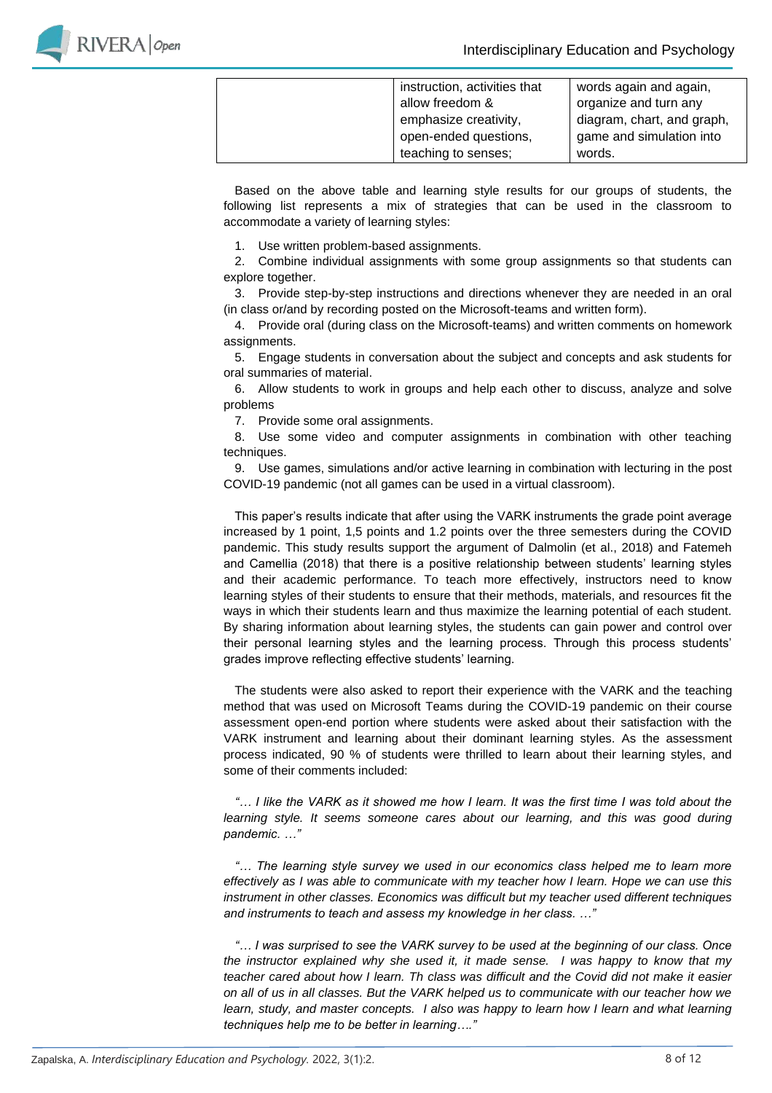

| instruction, activities that | words again and again,     |
|------------------------------|----------------------------|
| allow freedom &              | organize and turn any      |
| emphasize creativity,        | diagram, chart, and graph, |
| open-ended questions,        | game and simulation into   |
| teaching to senses;          | words.                     |

Based on the above table and learning style results for our groups of students, the following list represents a mix of strategies that can be used in the classroom to accommodate a variety of learning styles:

1. Use written problem-based assignments.

2. Combine individual assignments with some group assignments so that students can explore together.

3. Provide step-by-step instructions and directions whenever they are needed in an oral (in class or/and by recording posted on the Microsoft-teams and written form).

4. Provide oral (during class on the Microsoft-teams) and written comments on homework assignments.

5. Engage students in conversation about the subject and concepts and ask students for oral summaries of material.

6. Allow students to work in groups and help each other to discuss, analyze and solve problems

7. Provide some oral assignments.

8. Use some video and computer assignments in combination with other teaching techniques.

9. Use games, simulations and/or active learning in combination with lecturing in the post COVID-19 pandemic (not all games can be used in a virtual classroom).

This paper's results indicate that after using the VARK instruments the grade point average increased by 1 point, 1,5 points and 1.2 points over the three semesters during the COVID pandemic. This study results support the argument of Dalmolin (et al., 2018) and Fatemeh and Camellia (2018) that there is a positive relationship between students' learning styles and their academic performance. To teach more effectively, instructors need to know learning styles of their students to ensure that their methods, materials, and resources fit the ways in which their students learn and thus maximize the learning potential of each student. By sharing information about learning styles, the students can gain power and control over their personal learning styles and the learning process. Through this process students' grades improve reflecting effective students' learning.

The students were also asked to report their experience with the VARK and the teaching method that was used on Microsoft Teams during the COVID-19 pandemic on their course assessment open-end portion where students were asked about their satisfaction with the VARK instrument and learning about their dominant learning styles. As the assessment process indicated, 90 % of students were thrilled to learn about their learning styles, and some of their comments included:

*"… I like the VARK as it showed me how I learn. It was the first time I was told about the learning style. It seems someone cares about our learning, and this was good during pandemic. …"*

*"… The learning style survey we used in our economics class helped me to learn more effectively as I was able to communicate with my teacher how I learn. Hope we can use this instrument in other classes. Economics was difficult but my teacher used different techniques and instruments to teach and assess my knowledge in her class. …"*

*"… I was surprised to see the VARK survey to be used at the beginning of our class. Once the instructor explained why she used it, it made sense. I was happy to know that my teacher cared about how I learn. Th class was difficult and the Covid did not make it easier on all of us in all classes. But the VARK helped us to communicate with our teacher how we learn, study, and master concepts. I also was happy to learn how I learn and what learning techniques help me to be better in learning…."*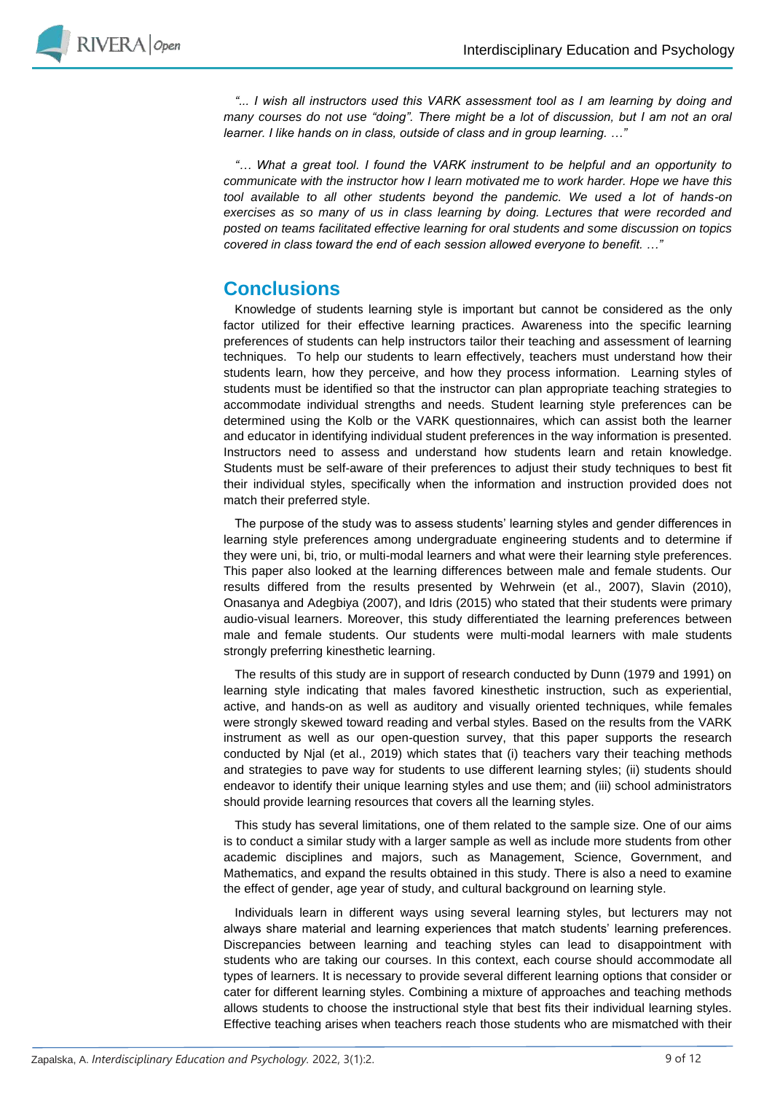

*"... I wish all instructors used this VARK assessment tool as I am learning by doing and many courses do not use "doing". There might be a lot of discussion, but I am not an oral learner. I like hands on in class, outside of class and in group learning. …"*

*"… What a great tool. I found the VARK instrument to be helpful and an opportunity to communicate with the instructor how I learn motivated me to work harder. Hope we have this tool available to all other students beyond the pandemic. We used a lot of hands-on exercises as so many of us in class learning by doing. Lectures that were recorded and posted on teams facilitated effective learning for oral students and some discussion on topics covered in class toward the end of each session allowed everyone to benefit. …"*

# **Conclusions**

Knowledge of students learning style is important but cannot be considered as the only factor utilized for their effective learning practices. Awareness into the specific learning preferences of students can help instructors tailor their teaching and assessment of learning techniques. To help our students to learn effectively, teachers must understand how their students learn, how they perceive, and how they process information. Learning styles of students must be identified so that the instructor can plan appropriate teaching strategies to accommodate individual strengths and needs. Student learning style preferences can be determined using the Kolb or the VARK questionnaires, which can assist both the learner and educator in identifying individual student preferences in the way information is presented. Instructors need to assess and understand how students learn and retain knowledge. Students must be self-aware of their preferences to adjust their study techniques to best fit their individual styles, specifically when the information and instruction provided does not match their preferred style.

The purpose of the study was to assess students' learning styles and gender differences in learning style preferences among undergraduate engineering students and to determine if they were uni, bi, trio, or multi-modal learners and what were their learning style preferences. This paper also looked at the learning differences between male and female students. Our results differed from the results presented by Wehrwein (et al., 2007), Slavin (2010), Onasanya and Adegbiya (2007), and Idris (2015) who stated that their students were primary audio-visual learners. Moreover, this study differentiated the learning preferences between male and female students. Our students were multi-modal learners with male students strongly preferring kinesthetic learning.

The results of this study are in support of research conducted by Dunn (1979 and 1991) on learning style indicating that males favored kinesthetic instruction, such as experiential, active, and hands-on as well as auditory and visually oriented techniques, while females were strongly skewed toward reading and verbal styles. Based on the results from the VARK instrument as well as our open-question survey, that this paper supports the research conducted by Njal (et al., 2019) which states that (i) teachers vary their teaching methods and strategies to pave way for students to use different learning styles; (ii) students should endeavor to identify their unique learning styles and use them; and (iii) school administrators should provide learning resources that covers all the learning styles.

This study has several limitations, one of them related to the sample size. One of our aims is to conduct a similar study with a larger sample as well as include more students from other academic disciplines and majors, such as Management, Science, Government, and Mathematics, and expand the results obtained in this study. There is also a need to examine the effect of gender, age year of study, and cultural background on learning style.

Individuals learn in different ways using several learning styles, but lecturers may not always share material and learning experiences that match students' learning preferences. Discrepancies between learning and teaching styles can lead to disappointment with students who are taking our courses. In this context, each course should accommodate all types of learners. It is necessary to provide several different learning options that consider or cater for different learning styles. Combining a mixture of approaches and teaching methods allows students to choose the instructional style that best fits their individual learning styles. Effective teaching arises when teachers reach those students who are mismatched with their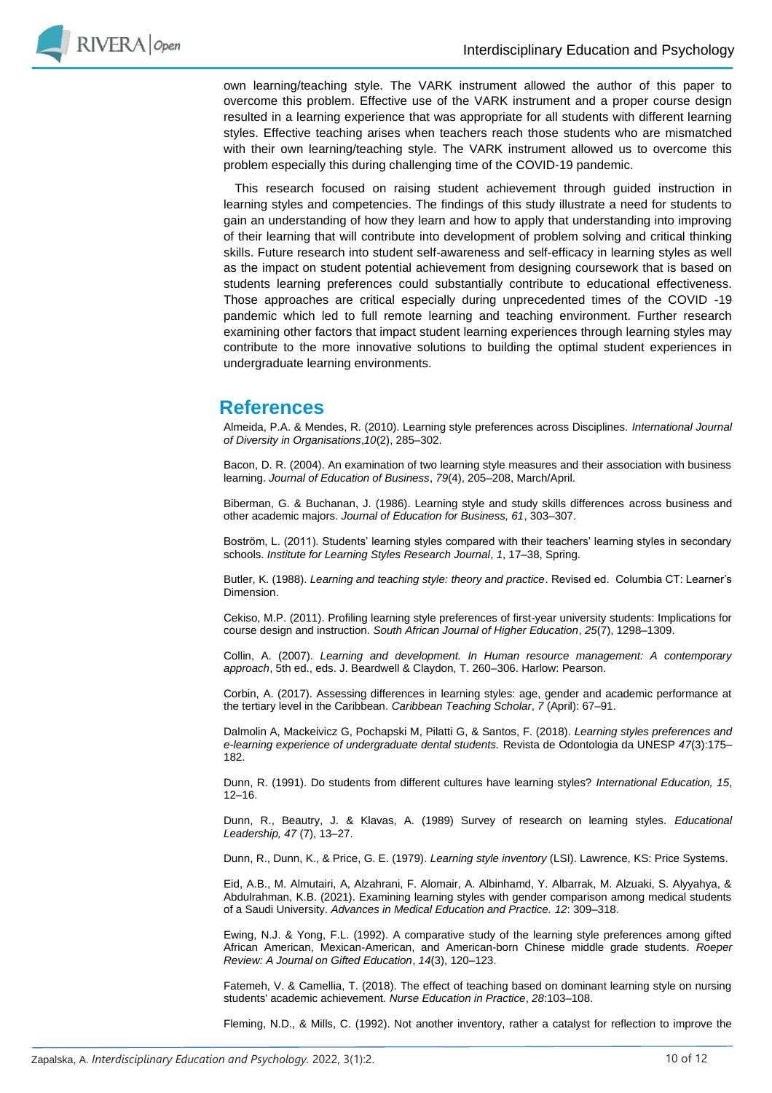

own learning/teaching style. The VARK instrument allowed the author of this paper to overcome this problem. Effective use of the VARK instrument and a proper course design resulted in a learning experience that was appropriate for all students with different learning styles. Effective teaching arises when teachers reach those students who are mismatched with their own learning/teaching style. The VARK instrument allowed us to overcome this problem especially this during challenging time of the COVID-19 pandemic.

This research focused on raising student achievement through guided instruction in learning styles and competencies. The findings of this study illustrate a need for students to gain an understanding of how they learn and how to apply that understanding into improving of their learning that will contribute into development of problem solving and critical thinking skills. Future research into student self-awareness and self-efficacy in learning styles as well as the impact on student potential achievement from designing coursework that is based on students learning preferences could substantially contribute to educational effectiveness. Those approaches are critical especially during unprecedented times of the COVID -19 pandemic which led to full remote learning and teaching environment. Further research examining other factors that impact student learning experiences through learning styles may contribute to the more innovative solutions to building the optimal student experiences in undergraduate learning environments.

### **References**

Almeida, P.A. & Mendes, R. (2010). Learning style preferences across Disciplines. *International Journal of Diversity in Organisations*,*10*(2), 285–302.

Bacon, D. R. (2004). An examination of two learning style measures and their association with business learning. *Journal of Education of Business*, *79*(4), 205–208, March/April.

Biberman, G. & Buchanan, J. (1986). Learning style and study skills differences across business and other academic majors. *Journal of Education for Business, 61*, 303–307.

Boström, L. (2011). Students' learning styles compared with their teachers' learning styles in secondary schools. *Institute for Learning Styles Research Journal*, *1*, 17–38, Spring.

Butler, K. (1988). *Learning and teaching style: theory and practice*. Revised ed. Columbia CT: Learner's Dimension.

Cekiso, M.P. (2011). Profiling learning style preferences of first-year university students: Implications for course design and instruction. *South African Journal of Higher Education*, *25*(7), 1298–1309.

Collin, A. (2007). *Learning and development. In Human resource management: A contemporary approach*, 5th ed., eds. J. Beardwell & Claydon, T. 260–306. Harlow: Pearson.

Corbin, A. (2017). Assessing differences in learning styles: age, gender and academic performance at the tertiary level in the Caribbean. *Caribbean Teaching Scholar*, *7* (April): 67–91.

Dalmolin A, Mackeivicz G, Pochapski M, Pilatti G, & Santos, F. (2018). *Learning styles preferences and e-learning experience of undergraduate dental students.* Revista de Odontologia da UNESP *47*(3):175– 182.

Dunn, R. (1991). Do students from different cultures have learning styles? *International Education, 15*, 12–16.

Dunn, R., Beautry, J. & Klavas, A. (1989) Survey of research on learning styles. *Educational Leadership, 47* (7), 13–27.

Dunn, R., Dunn, K., & Price, G. E. (1979). *Learning style inventory* (LSI). Lawrence, KS: Price Systems.

Eid, A.B., M. Almutairi, A, Alzahrani, F. Alomair, A. Albinhamd, Y. Albarrak, M. Alzuaki, S. Alyyahya, & Abdulrahman, K.B. (2021). Examining learning styles with gender comparison among medical students of a Saudi University. *Advances in Medical Education and Practice. 12*: 309–318.

Ewing, N.J. & Yong, F.L. (1992). A comparative study of the learning style preferences among gifted African American, Mexican-American, and American-born Chinese middle grade students. *Roeper Review: A Journal on Gifted Education*, *14*(3), 120–123.

Fatemeh, V. & Camellia, T. (2018). The effect of teaching based on dominant learning style on nursing students' academic achievement. *Nurse Education in Practice*, *28*:103–108.

Fleming, N.D., & Mills, C. (1992). Not another inventory, rather a catalyst for reflection to improve the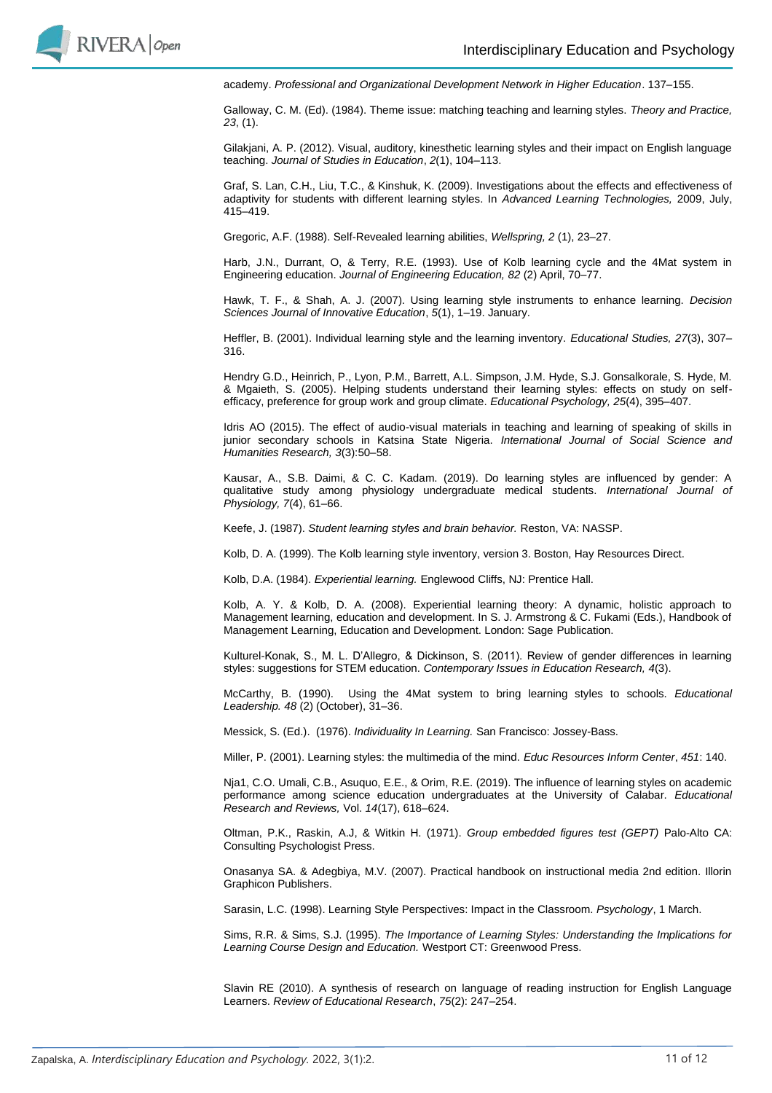

academy. *Professional and Organizational Development Network in Higher Education*. 137–155.

Galloway, C. M. (Ed). (1984). Theme issue: matching teaching and learning styles. *Theory and Practice, 23*, (1).

Gilakjani, A. P. (2012). Visual, auditory, kinesthetic learning styles and their impact on English language teaching. *Journal of Studies in Education*, *2*(1), 104–113.

Graf, S. Lan, C.H., Liu, T.C., & Kinshuk, K. (2009). Investigations about the effects and effectiveness of adaptivity for students with different learning styles. In *Advanced Learning Technologies,* 2009, July, 415–419.

Gregoric, A.F. (1988). Self-Revealed learning abilities, *Wellspring, 2* (1), 23–27.

Harb, J.N., Durrant, O, & Terry, R.E. (1993). Use of Kolb learning cycle and the 4Mat system in Engineering education. *Journal of Engineering Education, 82* (2) April, 70–77.

Hawk, T. F., & Shah, A. J. (2007). Using learning style instruments to enhance learning. *Decision Sciences Journal of Innovative Education*, *5*(1), 1–19. January.

Heffler, B. (2001). Individual learning style and the learning inventory. *Educational Studies, 27*(3), 307– 316.

Hendry G.D., Heinrich, P., Lyon, P.M., Barrett, A.L. Simpson, J.M. Hyde, S.J. Gonsalkorale, S. Hyde, M. & Mgaieth, S. (2005). Helping students understand their learning styles: effects on study on selfefficacy, preference for group work and group climate. *Educational Psychology, 25*(4), 395–407.

Idris AO (2015). The effect of audio-visual materials in teaching and learning of speaking of skills in junior secondary schools in Katsina State Nigeria. *International Journal of Social Science and Humanities Research, 3*(3):50–58.

Kausar, A., S.B. Daimi, & C. C. Kadam. (2019). Do learning styles are influenced by gender: A qualitative study among physiology undergraduate medical students. *International Journal of Physiology, 7*(4), 61–66.

Keefe, J. (1987). *Student learning styles and brain behavior.* Reston, VA: NASSP.

Kolb, D. A. (1999). The Kolb learning style inventory, version 3. Boston, Hay Resources Direct.

Kolb, D.A. (1984). *Experiential learning.* Englewood Cliffs, NJ: Prentice Hall.

Kolb, A. Y. & Kolb, D. A. (2008). Experiential learning theory: A dynamic, holistic approach to Management learning, education and development. In S. J. Armstrong & C. Fukami (Eds.), Handbook of Management Learning, Education and Development. London: Sage Publication.

Kulturel-Konak, S., M. L. D'Allegro, & Dickinson, S. (2011). Review of gender differences in learning styles: suggestions for STEM education. *Contemporary Issues in Education Research, 4*(3).

McCarthy, B. (1990). Using the 4Mat system to bring learning styles to schools. *Educational Leadership. 48* (2) (October), 31–36.

Messick, S. (Ed.). (1976). *Individuality In Learning.* San Francisco: Jossey-Bass.

Miller, P. (2001). Learning styles: the multimedia of the mind. *Educ Resources Inform Center*, *451*: 140.

Nja1, C.O. Umali, C.B., Asuquo, E.E., & Orim, R.E. (2019). The influence of learning styles on academic performance among science education undergraduates at the University of Calabar. *Educational Research and Reviews,* Vol. *14*(17), 618–624.

Oltman, P.K., Raskin, A.J, & Witkin H. (1971). *Group embedded figures test (GEPT)* Palo-Alto CA: Consulting Psychologist Press.

Onasanya SA. & Adegbiya, M.V. (2007). Practical handbook on instructional media 2nd edition. Illorin Graphicon Publishers.

Sarasin, L.C. (1998). Learning Style Perspectives: Impact in the Classroom. *Psychology*, 1 March.

Sims, R.R. & Sims, S.J. (1995). *The Importance of Learning Styles: Understanding the Implications for Learning Course Design and Education.* Westport CT: Greenwood Press.

Slavin RE (2010). A synthesis of research on language of reading instruction for English Language Learners. *Review of Educational Research*, *75*(2): 247–254.